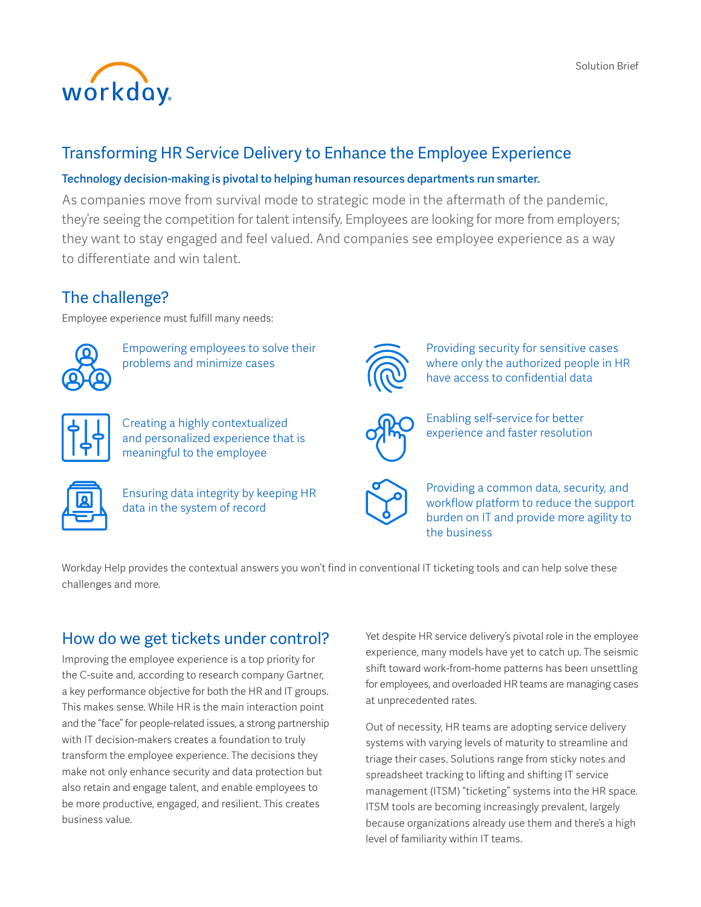

## Transforming HR Service Delivery to Enhance the Employee Experience

#### Technology decision-making is pivotal to helping human resources departments run smarter.

As companies move from survival mode to strategic mode in the aftermath of the pandemic, they're seeing the competition for talent intensify. Employees are looking for more from employers; they want to stay engaged and feel valued. And companies see employee experience as a way to differentiate and win talent.

## The challenge?

Employee experience must fulfill many needs:



Empowering employees to solve their problems and minimize cases



Creating a highly contextualized and personalized experience that is meaningful to the employee



Ensuring data integrity by keeping HR data in the system of record



Providing security for sensitive cases where only the authorized people in HR have access to confidential data



Enabling self-service for better experience and faster resolution



Providing a common data, security, and workflow platform to reduce the support burden on IT and provide more agility to the business

Workday Help provides the contextual answers you won't find in conventional IT ticketing tools and can help solve these challenges and more.

## How do we get tickets under control?

Improving the employee experience is a top priority for the C-suite and, according to research company Gartner, a key performance objective for both the HR and IT groups. This makes sense. While HR is the main interaction point and the "face" for people-related issues, a strong partnership with IT decision-makers creates a foundation to truly transform the employee experience. The decisions they make not only enhance security and data protection but also retain and engage talent, and enable employees to be more productive, engaged, and resilient. This creates business value.

Yet despite HR service delivery's pivotal role in the employee experience, many models have yet to catch up. The seismic shift toward work-from-home patterns has been unsettling for employees, and overloaded HR teams are managing cases at unprecedented rates.

Out of necessity, HR teams are adopting service delivery systems with varying levels of maturity to streamline and triage their cases. Solutions range from sticky notes and spreadsheet tracking to lifting and shifting IT service management (ITSM) "ticketing" systems into the HR space. ITSM tools are becoming increasingly prevalent, largely because organizations already use them and there's a high level of familiarity within IT teams.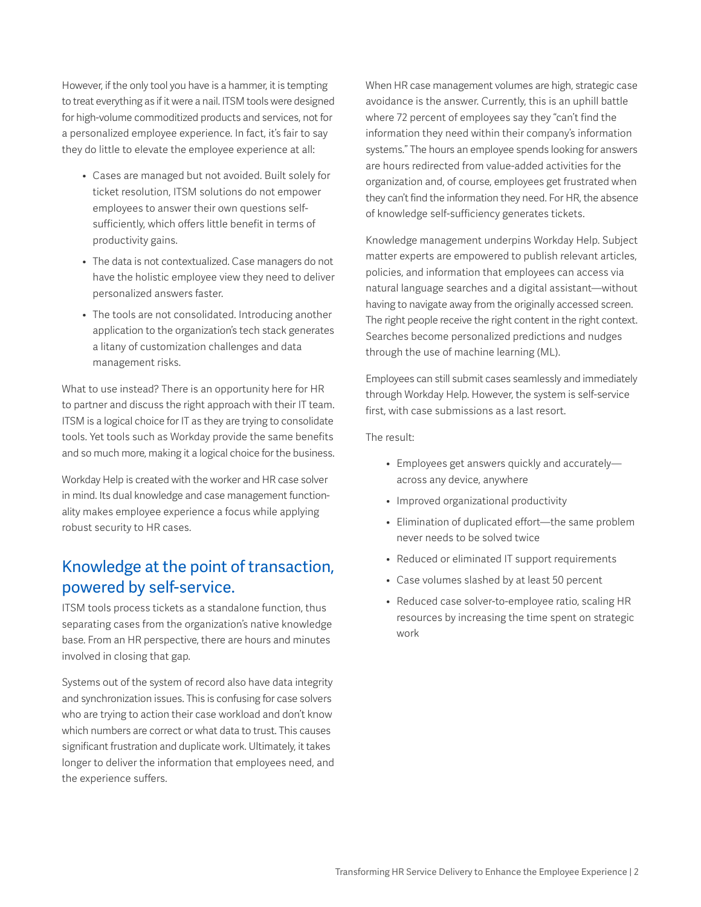However, if the only tool you have is a hammer, it is tempting to treat everything as if it were a nail. ITSM tools were designed for high-volume commoditized products and services, not for a personalized employee experience. In fact, it's fair to say they do little to elevate the employee experience at all:

- Cases are managed but not avoided. Built solely for ticket resolution, ITSM solutions do not empower employees to answer their own questions selfsufficiently, which offers little benefit in terms of productivity gains.
- The data is not contextualized. Case managers do not have the holistic employee view they need to deliver personalized answers faster.
- The tools are not consolidated. Introducing another application to the organization's tech stack generates a litany of customization challenges and data management risks.

What to use instead? There is an opportunity here for HR to partner and discuss the right approach with their IT team. ITSM is a logical choice for IT as they are trying to consolidate tools. Yet tools such as Workday provide the same benefits and so much more, making it a logical choice for the business.

Workday Help is created with the worker and HR case solver in mind. Its dual knowledge and case management functionality makes employee experience a focus while applying robust security to HR cases.

## Knowledge at the point of transaction, powered by self-service.

ITSM tools process tickets as a standalone function, thus separating cases from the organization's native knowledge base. From an HR perspective, there are hours and minutes involved in closing that gap.

Systems out of the system of record also have data integrity and synchronization issues. This is confusing for case solvers who are trying to action their case workload and don't know which numbers are correct or what data to trust. This causes significant frustration and duplicate work. Ultimately, it takes longer to deliver the information that employees need, and the experience suffers.

When HR case management volumes are high, strategic case avoidance is the answer. Currently, this is an uphill battle where 72 percent of employees say they "can't find the information they need within their company's information systems." The hours an employee spends looking for answers are hours redirected from value-added activities for the organization and, of course, employees get frustrated when they can't find the information they need. For HR, the absence of knowledge self-sufficiency generates tickets.

Knowledge management underpins Workday Help. Subject matter experts are empowered to publish relevant articles, policies, and information that employees can access via natural language searches and a digital assistant—without having to navigate away from the originally accessed screen. The right people receive the right content in the right context. Searches become personalized predictions and nudges through the use of machine learning (ML).

Employees can still submit cases seamlessly and immediately through Workday Help. However, the system is self-service first, with case submissions as a last resort.

The result:

- Employees get answers quickly and accurately across any device, anywhere
- Improved organizational productivity
- Elimination of duplicated effort—the same problem never needs to be solved twice
- Reduced or eliminated IT support requirements
- Case volumes slashed by at least 50 percent
- Reduced case solver-to-employee ratio, scaling HR resources by increasing the time spent on strategic work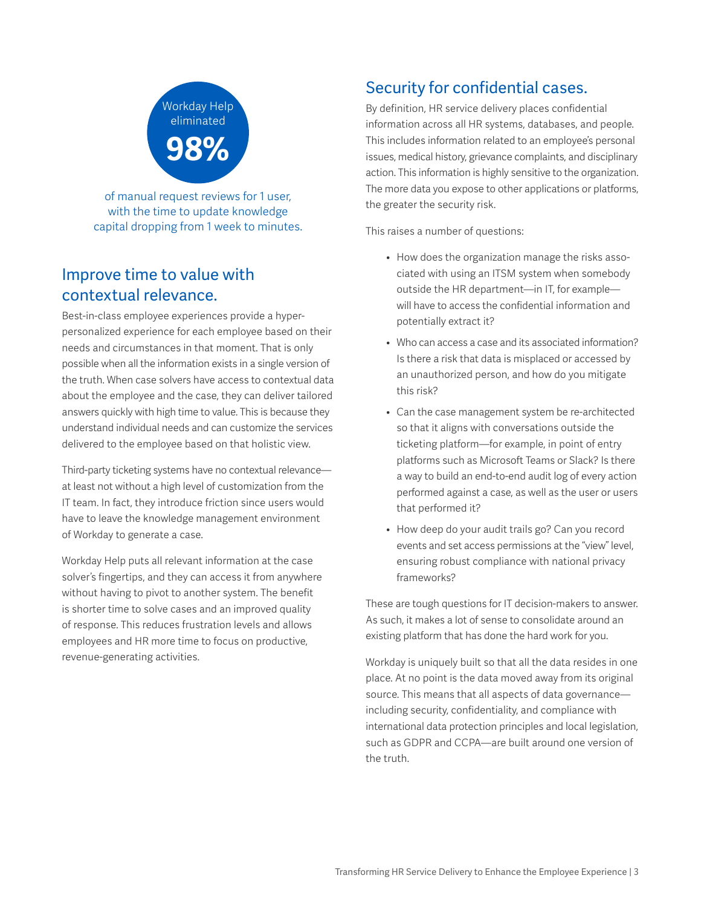

of manual request reviews for 1 user, with the time to update knowledge capital dropping from 1 week to minutes.

## Improve time to value with contextual relevance.

Best-in-class employee experiences provide a hyperpersonalized experience for each employee based on their needs and circumstances in that moment. That is only possible when all the information exists in a single version of the truth. When case solvers have access to contextual data about the employee and the case, they can deliver tailored answers quickly with high time to value. This is because they understand individual needs and can customize the services delivered to the employee based on that holistic view.

Third-party ticketing systems have no contextual relevance at least not without a high level of customization from the IT team. In fact, they introduce friction since users would have to leave the knowledge management environment of Workday to generate a case.

Workday Help puts all relevant information at the case solver's fingertips, and they can access it from anywhere without having to pivot to another system. The benefit is shorter time to solve cases and an improved quality of response. This reduces frustration levels and allows employees and HR more time to focus on productive, revenue-generating activities.

## Security for confidential cases.

By definition, HR service delivery places confidential information across all HR systems, databases, and people. This includes information related to an employee's personal issues, medical history, grievance complaints, and disciplinary action. This information is highly sensitive to the organization. The more data you expose to other applications or platforms, the greater the security risk.

This raises a number of questions:

- How does the organization manage the risks associated with using an ITSM system when somebody outside the HR department—in IT, for example will have to access the confidential information and potentially extract it?
- Who can access a case and its associated information? Is there a risk that data is misplaced or accessed by an unauthorized person, and how do you mitigate this risk?
- Can the case management system be re-architected so that it aligns with conversations outside the ticketing platform—for example, in point of entry platforms such as Microsoft Teams or Slack? Is there a way to build an end-to-end audit log of every action performed against a case, as well as the user or users that performed it?
- How deep do your audit trails go? Can you record events and set access permissions at the "view" level, ensuring robust compliance with national privacy frameworks?

These are tough questions for IT decision-makers to answer. As such, it makes a lot of sense to consolidate around an existing platform that has done the hard work for you.

Workday is uniquely built so that all the data resides in one place. At no point is the data moved away from its original source. This means that all aspects of data governance including security, confidentiality, and compliance with international data protection principles and local legislation, such as GDPR and CCPA—are built around one version of the truth.